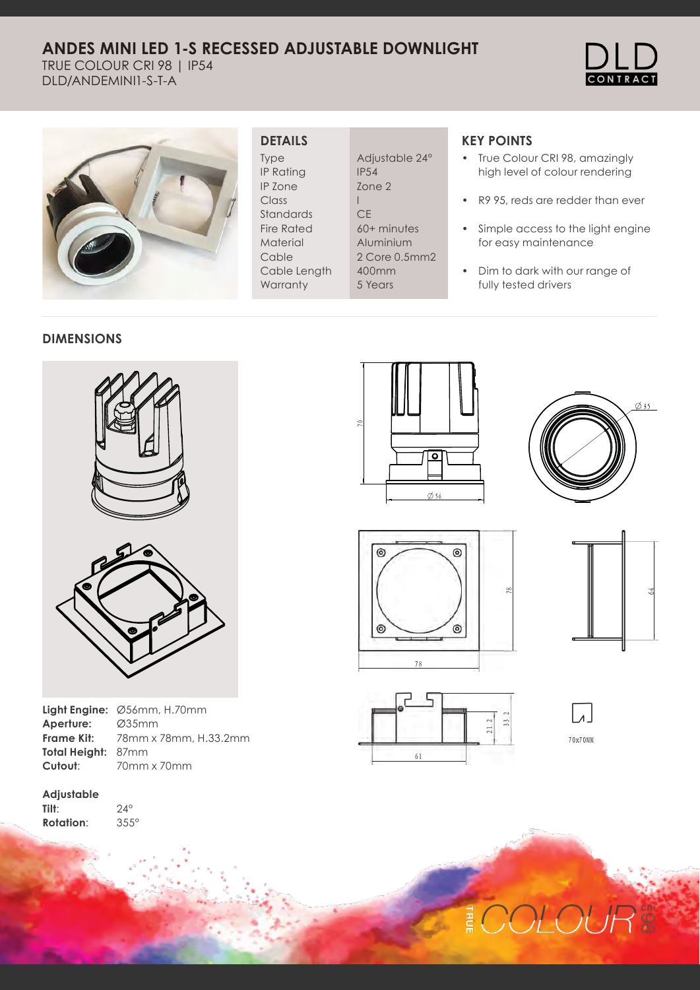# **ANDES MINI LED 1-S RECESSED ADJUSTABLE DOWNLIGHT**

TRUE COLOUR CRI 98 | IP54 DLD/ANDEMINI1-S-T-A





### **DETAILS**

Type IP Rating IP Zone Class Standards Fire Rated Material Cable Cable Length **Warranty** 

Adjustable 24° IP54 Zone 2 I **CE** 60+ minutes Aluminium 2 Core 0.5mm2 400mm 5 Years

## **KEY POINTS**

- True Colour CRI 98, amazingly high level of colour rendering
- R9 95, reds are redder than ever
- Simple access to the light engine for easy maintenance
- Dim to dark with our range of fully tested drivers

#### **DIMENSIONS**



|                    | Light Engine: Ø56mm, H.70mm |
|--------------------|-----------------------------|
| Aperture:          | Ø35mm                       |
| <b>Frame Kit:</b>  | 78mm x 78mm, H.             |
| Total Height: 87mm |                             |
| Cutout:            | 70mm x 70mm                 |

mm, H.33.2mm mm

**Adjustable Tilt**: **Rotation**:

24° 355°











70x70MM